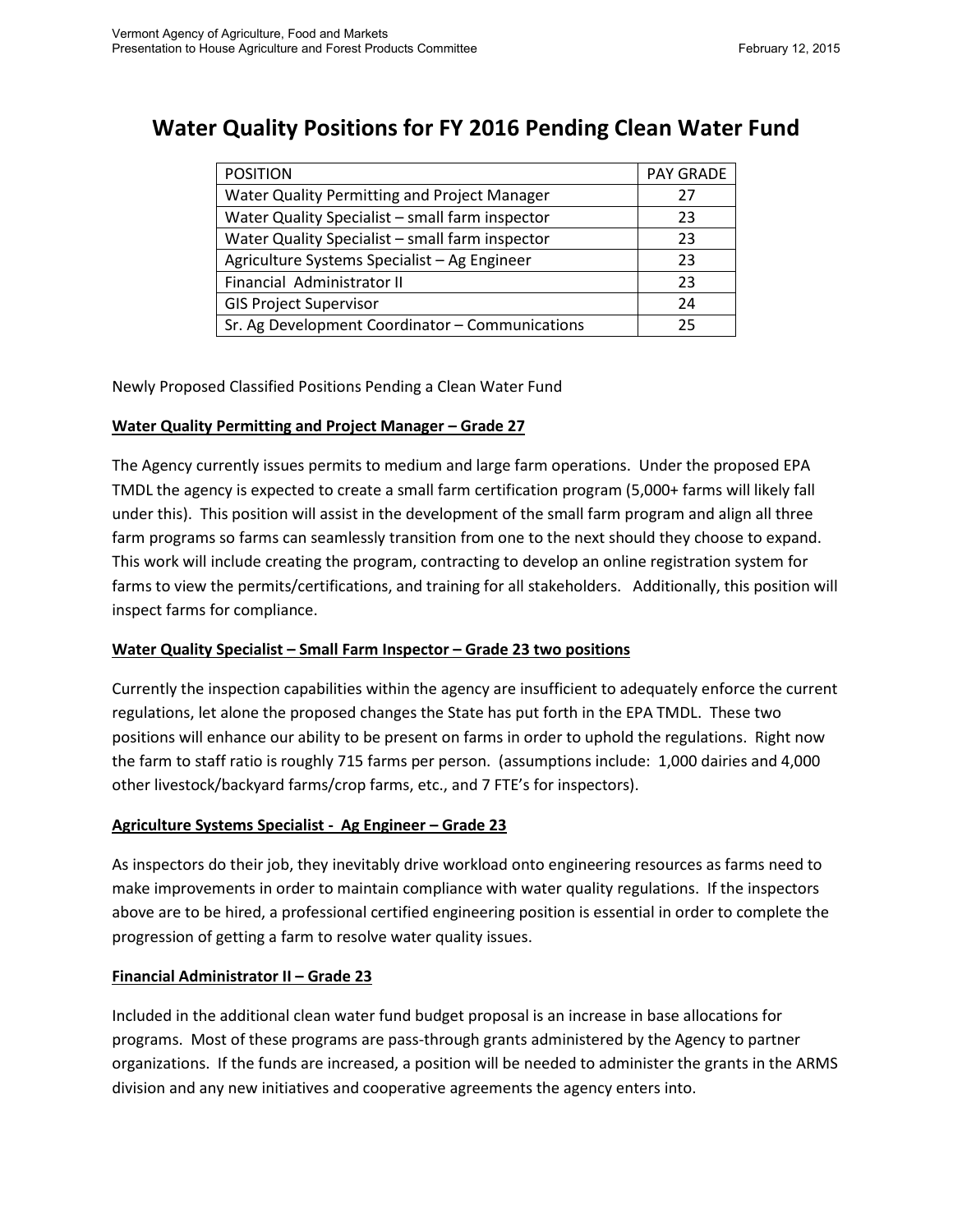# **Water Quality Positions for FY 2016 Pending Clean Water Fund**

| <b>POSITION</b>                                 | <b>PAY GRADE</b> |
|-------------------------------------------------|------------------|
| Water Quality Permitting and Project Manager    | 27               |
| Water Quality Specialist - small farm inspector | 23               |
| Water Quality Specialist - small farm inspector | 23               |
| Agriculture Systems Specialist - Ag Engineer    | 23               |
| Financial Administrator II                      | 23               |
| <b>GIS Project Supervisor</b>                   | 24               |
| Sr. Ag Development Coordinator - Communications | 25               |

Newly Proposed Classified Positions Pending a Clean Water Fund

#### **Water Quality Permitting and Project Manager – Grade 27**

The Agency currently issues permits to medium and large farm operations. Under the proposed EPA TMDL the agency is expected to create a small farm certification program (5,000+ farms will likely fall under this). This position will assist in the development of the small farm program and align all three farm programs so farms can seamlessly transition from one to the next should they choose to expand. This work will include creating the program, contracting to develop an online registration system for farms to view the permits/certifications, and training for all stakeholders. Additionally, this position will inspect farms for compliance.

### **Water Quality Specialist – Small Farm Inspector – Grade 23 two positions**

Currently the inspection capabilities within the agency are insufficient to adequately enforce the current regulations, let alone the proposed changes the State has put forth in the EPA TMDL. These two positions will enhance our ability to be present on farms in order to uphold the regulations. Right now the farm to staff ratio is roughly 715 farms per person. (assumptions include: 1,000 dairies and 4,000 other livestock/backyard farms/crop farms, etc., and 7 FTE's for inspectors).

### **Agriculture Systems Specialist - Ag Engineer – Grade 23**

As inspectors do their job, they inevitably drive workload onto engineering resources as farms need to make improvements in order to maintain compliance with water quality regulations. If the inspectors above are to be hired, a professional certified engineering position is essential in order to complete the progression of getting a farm to resolve water quality issues.

#### **Financial Administrator II – Grade 23**

Included in the additional clean water fund budget proposal is an increase in base allocations for programs. Most of these programs are pass-through grants administered by the Agency to partner organizations. If the funds are increased, a position will be needed to administer the grants in the ARMS division and any new initiatives and cooperative agreements the agency enters into.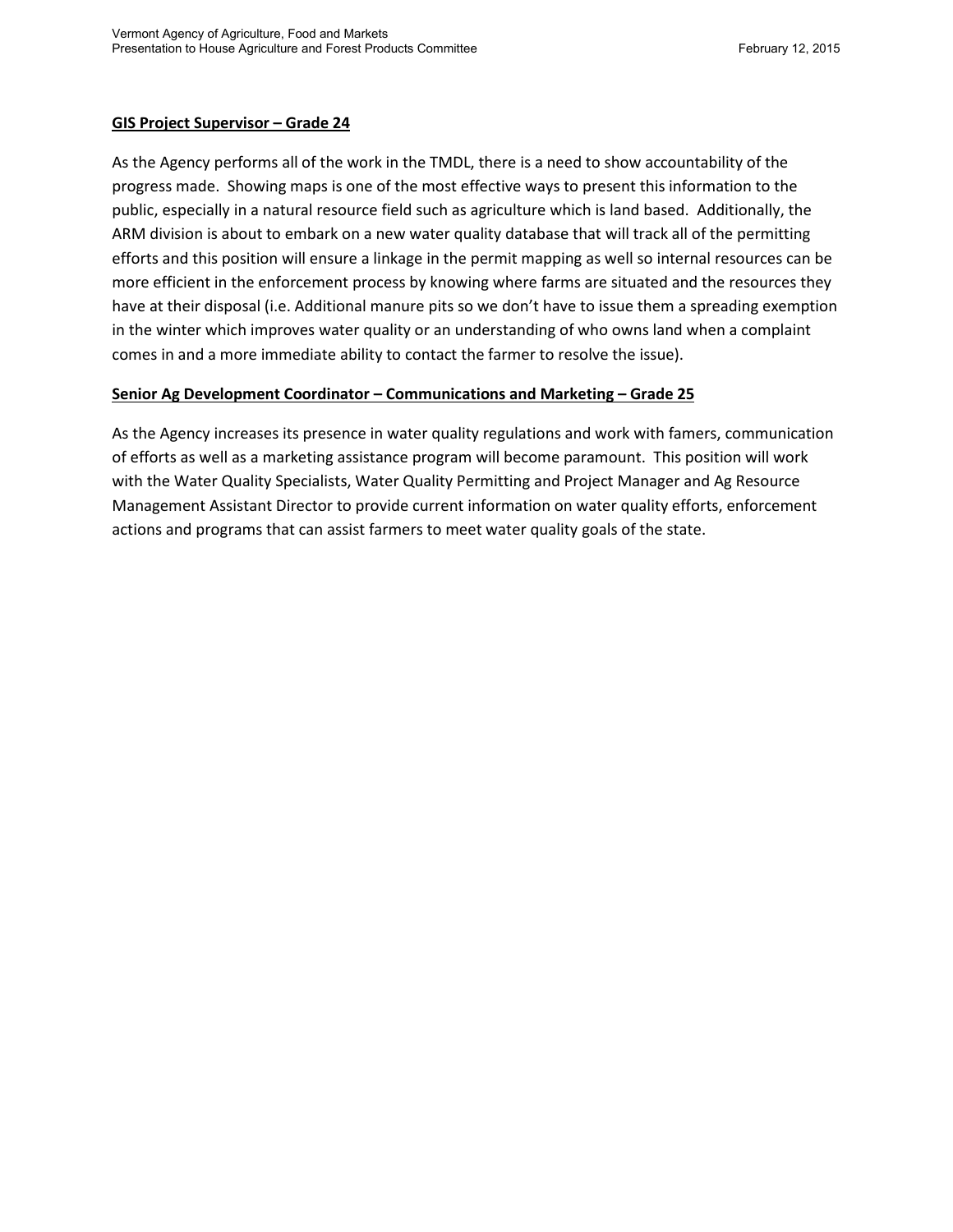#### **GIS Project Supervisor – Grade 24**

As the Agency performs all of the work in the TMDL, there is a need to show accountability of the progress made. Showing maps is one of the most effective ways to present this information to the public, especially in a natural resource field such as agriculture which is land based. Additionally, the ARM division is about to embark on a new water quality database that will track all of the permitting efforts and this position will ensure a linkage in the permit mapping as well so internal resources can be more efficient in the enforcement process by knowing where farms are situated and the resources they have at their disposal (i.e. Additional manure pits so we don't have to issue them a spreading exemption in the winter which improves water quality or an understanding of who owns land when a complaint comes in and a more immediate ability to contact the farmer to resolve the issue).

#### **Senior Ag Development Coordinator – Communications and Marketing – Grade 25**

As the Agency increases its presence in water quality regulations and work with famers, communication of efforts as well as a marketing assistance program will become paramount. This position will work with the Water Quality Specialists, Water Quality Permitting and Project Manager and Ag Resource Management Assistant Director to provide current information on water quality efforts, enforcement actions and programs that can assist farmers to meet water quality goals of the state.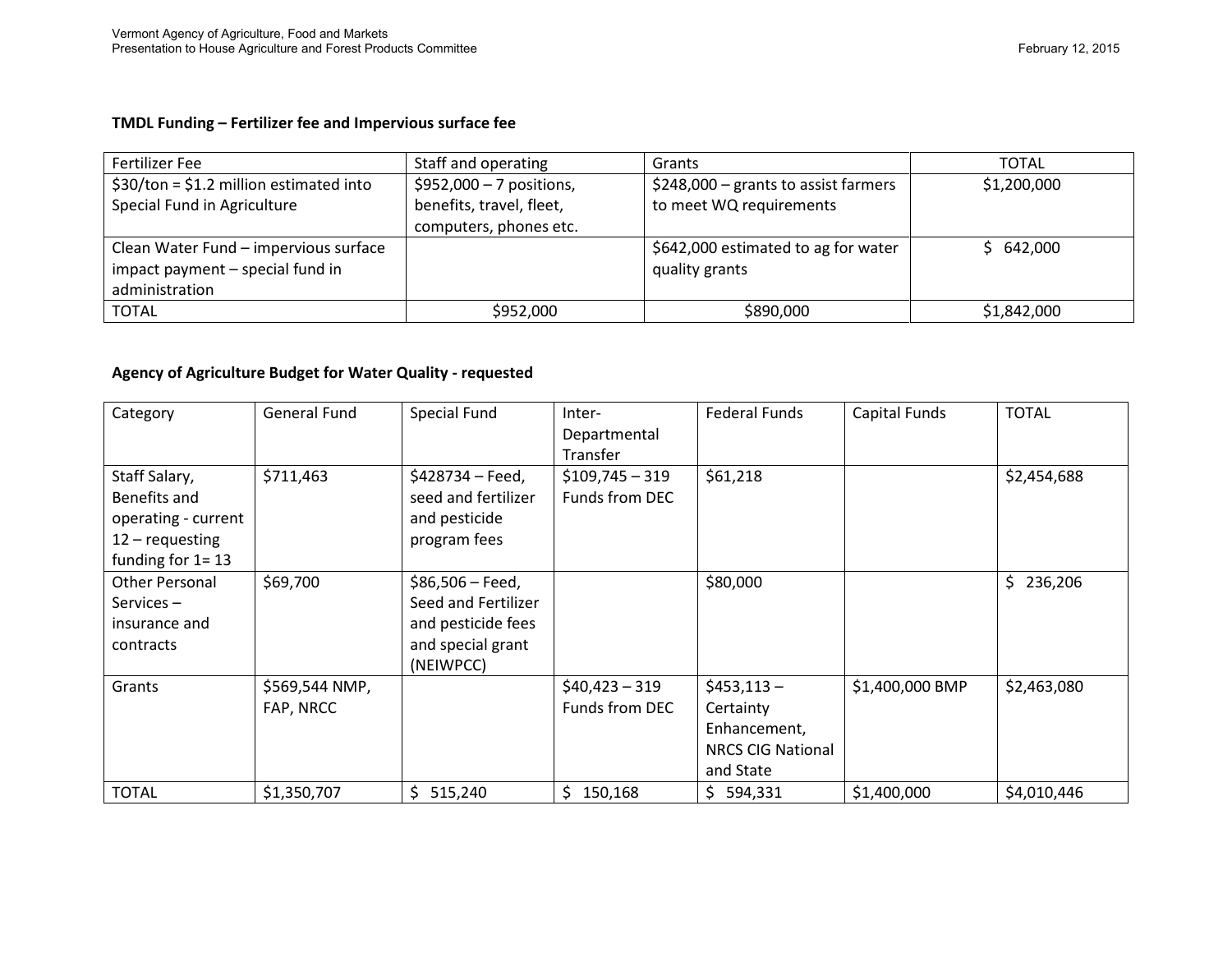#### **TMDL Funding – Fertilizer fee and Impervious surface fee**

| Fertilizer Fee                          | Staff and operating       | Grants                                | TOTAL       |
|-----------------------------------------|---------------------------|---------------------------------------|-------------|
| $$30/ton = $1.2$ million estimated into | $$952,000 - 7$ positions, | $$248,000$ – grants to assist farmers | \$1,200,000 |
| Special Fund in Agriculture             | benefits, travel, fleet,  | to meet WQ requirements               |             |
|                                         | computers, phones etc.    |                                       |             |
| Clean Water Fund - impervious surface   |                           | \$642,000 estimated to ag for water   | \$642,000   |
| impact payment - special fund in        |                           | quality grants                        |             |
| administration                          |                           |                                       |             |
| <b>TOTAL</b>                            | \$952,000                 | \$890,000                             | \$1,842,000 |

#### **Agency of Agriculture Budget for Water Quality - requested**

| Category              | General Fund   | Special Fund        | Inter-           | <b>Federal Funds</b>     | Capital Funds   | <b>TOTAL</b> |
|-----------------------|----------------|---------------------|------------------|--------------------------|-----------------|--------------|
|                       |                |                     | Departmental     |                          |                 |              |
|                       |                |                     | Transfer         |                          |                 |              |
| Staff Salary,         | \$711,463      | \$428734 - Feed,    | $$109,745 - 319$ | \$61,218                 |                 | \$2,454,688  |
| Benefits and          |                | seed and fertilizer | Funds from DEC   |                          |                 |              |
| operating - current   |                | and pesticide       |                  |                          |                 |              |
| $12 -$ requesting     |                | program fees        |                  |                          |                 |              |
| funding for $1 = 13$  |                |                     |                  |                          |                 |              |
| <b>Other Personal</b> | \$69,700       | $$86,506 - Feed,$   |                  | \$80,000                 |                 | \$236,206    |
| Services-             |                | Seed and Fertilizer |                  |                          |                 |              |
| insurance and         |                | and pesticide fees  |                  |                          |                 |              |
| contracts             |                | and special grant   |                  |                          |                 |              |
|                       |                | (NEIWPCC)           |                  |                          |                 |              |
| Grants                | \$569,544 NMP, |                     | $$40,423 - 319$  | $$453,113-$              | \$1,400,000 BMP | \$2,463,080  |
|                       | FAP, NRCC      |                     | Funds from DEC   | Certainty                |                 |              |
|                       |                |                     |                  | Enhancement,             |                 |              |
|                       |                |                     |                  | <b>NRCS CIG National</b> |                 |              |
|                       |                |                     |                  | and State                |                 |              |
| <b>TOTAL</b>          | \$1,350,707    | \$<br>515,240       | \$.<br>150,168   | \$<br>594,331            | \$1,400,000     | \$4,010,446  |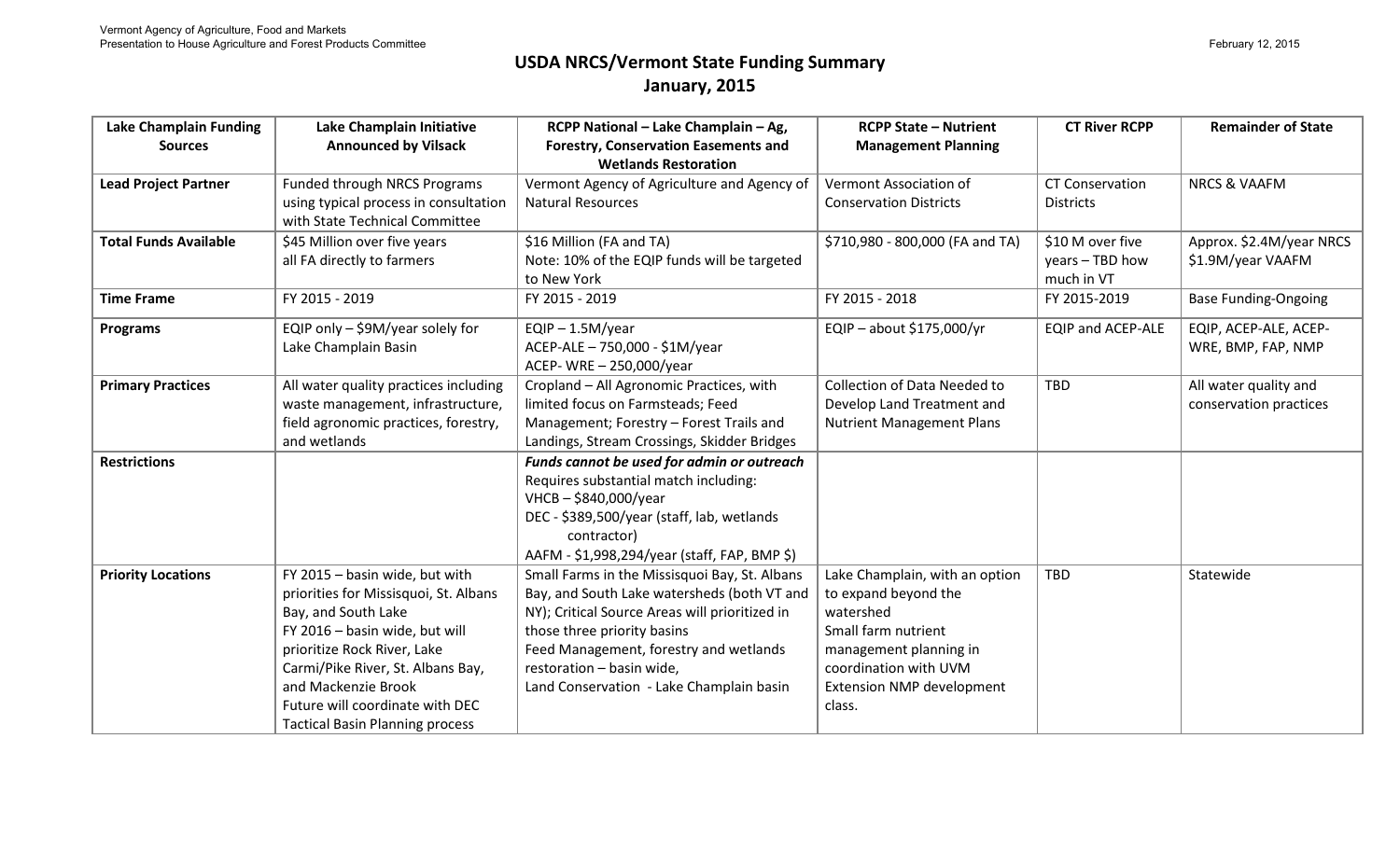# **USDA NRCS/Vermont State Funding Summary January, 2015**

| <b>Lake Champlain Funding</b> | Lake Champlain Initiative              | RCPP National - Lake Champlain - Ag,           | <b>RCPP State - Nutrient</b>     | <b>CT River RCPP</b>     | <b>Remainder of State</b>   |
|-------------------------------|----------------------------------------|------------------------------------------------|----------------------------------|--------------------------|-----------------------------|
| <b>Sources</b>                | <b>Announced by Vilsack</b>            | <b>Forestry, Conservation Easements and</b>    | <b>Management Planning</b>       |                          |                             |
|                               |                                        | <b>Wetlands Restoration</b>                    |                                  |                          |                             |
| <b>Lead Project Partner</b>   | Funded through NRCS Programs           | Vermont Agency of Agriculture and Agency of    | Vermont Association of           | <b>CT Conservation</b>   | <b>NRCS &amp; VAAFM</b>     |
|                               | using typical process in consultation  | <b>Natural Resources</b>                       | <b>Conservation Districts</b>    | <b>Districts</b>         |                             |
|                               | with State Technical Committee         |                                                |                                  |                          |                             |
| <b>Total Funds Available</b>  | \$45 Million over five years           | \$16 Million (FA and TA)                       | \$710,980 - 800,000 (FA and TA)  | \$10 M over five         | Approx. \$2.4M/year NRCS    |
|                               | all FA directly to farmers             | Note: 10% of the EQIP funds will be targeted   |                                  | years - TBD how          | \$1.9M/year VAAFM           |
|                               |                                        | to New York                                    |                                  | much in VT               |                             |
| <b>Time Frame</b>             | FY 2015 - 2019                         | FY 2015 - 2019                                 | FY 2015 - 2018                   | FY 2015-2019             | <b>Base Funding-Ongoing</b> |
| <b>Programs</b>               | EQIP only - \$9M/year solely for       | $EQIP - 1.5M/year$                             | EQIP - about \$175,000/yr        | <b>EQIP and ACEP-ALE</b> | EQIP, ACEP-ALE, ACEP-       |
|                               | Lake Champlain Basin                   | ACEP-ALE - 750,000 - \$1M/year                 |                                  |                          | WRE, BMP, FAP, NMP          |
|                               |                                        | ACEP- WRE - 250,000/year                       |                                  |                          |                             |
| <b>Primary Practices</b>      | All water quality practices including  | Cropland - All Agronomic Practices, with       | Collection of Data Needed to     | <b>TBD</b>               | All water quality and       |
|                               | waste management, infrastructure,      | limited focus on Farmsteads; Feed              | Develop Land Treatment and       |                          | conservation practices      |
|                               | field agronomic practices, forestry,   | Management; Forestry - Forest Trails and       | <b>Nutrient Management Plans</b> |                          |                             |
|                               | and wetlands                           | Landings, Stream Crossings, Skidder Bridges    |                                  |                          |                             |
| <b>Restrictions</b>           |                                        | Funds cannot be used for admin or outreach     |                                  |                          |                             |
|                               |                                        | Requires substantial match including:          |                                  |                          |                             |
|                               |                                        | $VHCB - $840,000/year$                         |                                  |                          |                             |
|                               |                                        | DEC - \$389,500/year (staff, lab, wetlands     |                                  |                          |                             |
|                               |                                        | contractor)                                    |                                  |                          |                             |
|                               |                                        | AAFM - \$1,998,294/year (staff, FAP, BMP \$)   |                                  |                          |                             |
| <b>Priority Locations</b>     | FY 2015 - basin wide, but with         | Small Farms in the Missisquoi Bay, St. Albans  | Lake Champlain, with an option   | <b>TBD</b>               | Statewide                   |
|                               | priorities for Missisquoi, St. Albans  | Bay, and South Lake watersheds (both VT and    | to expand beyond the             |                          |                             |
|                               | Bay, and South Lake                    | NY); Critical Source Areas will prioritized in | watershed                        |                          |                             |
|                               | FY 2016 - basin wide, but will         | those three priority basins                    | Small farm nutrient              |                          |                             |
|                               | prioritize Rock River, Lake            | Feed Management, forestry and wetlands         | management planning in           |                          |                             |
|                               | Carmi/Pike River, St. Albans Bay,      | restoration - basin wide,                      | coordination with UVM            |                          |                             |
|                               | and Mackenzie Brook                    | Land Conservation - Lake Champlain basin       | Extension NMP development        |                          |                             |
|                               | Future will coordinate with DEC        |                                                | class.                           |                          |                             |
|                               | <b>Tactical Basin Planning process</b> |                                                |                                  |                          |                             |